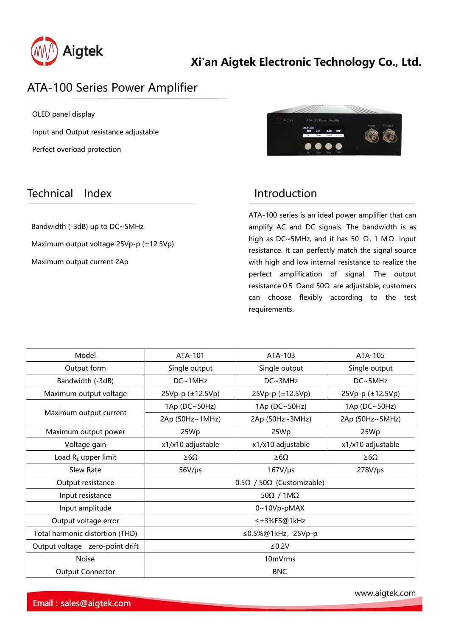

## ATA-100 Series Power Amplifier

OLED panel display Input and Output resistance adjustable Perfect overload protection

## Technical Index **Introduction**

Bandwidth (-3dB) up to DC~5MHz Maximum output voltage 25Vp-p (±12.5Vp) Maximum output current 2Ap

ATA-100 series is an ideal power amplifier that can amplify AC and DC signals. The bandwidth is as high as DC~5MHz, and it has 50  $Ω$ , 1 M $Ω$  input resistance. It can perfectly match the signal source with high and low internal resistance to realize the perfect amplification of signal. The output resistance 0.5 Ωand 50Ω are adjustable, customers can choose flexibly according to the test requirements.

| Model                           | ATA-101                                  | ATA-103           | ATA-105           |
|---------------------------------|------------------------------------------|-------------------|-------------------|
| Output form                     | Single output                            | Single output     | Single output     |
| Bandwidth (-3dB)                | $DC~\sim 1MHz$                           | DC~3MHz           | DC~5MHz           |
| Maximum output voltage          | 25Vp-p (±12.5Vp)                         | 25Vp-p (±12.5Vp)  | 25Vp-p (±12.5Vp)  |
| Maximum output current          | 1Ap (DC~50Hz)                            | 1Ap (DC~50Hz)     | 1Ap (DC~50Hz)     |
|                                 | 2Ap (50Hz~1MHz)                          | 2Ap (50Hz~3MHz)   | 2Ap (50Hz~5MHz)   |
| Maximum output power            | 25Wp                                     | 25Wp              | 25Wp              |
| Voltage gain                    | x1/x10 adjustable                        | x1/x10 adjustable | x1/x10 adjustable |
| Load RL upper limit             | $\geq 6\Omega$                           | $\geq 6$ $\Omega$ | $\geq 6\Omega$    |
| Slew Rate                       | $56V/\mu s$                              | $167V/\mu s$      | $278V/\mu s$      |
| Output resistance               | $0.5\Omega$ / 50 $\Omega$ (Customizable) |                   |                   |
| Input resistance                | $50\Omega / 1M\Omega$                    |                   |                   |
| Input amplitude                 | $0~10Vp$ -pMAX                           |                   |                   |
| Output voltage error            | ≤±3%FS@1kHz                              |                   |                   |
| Total harmonic distortion (THD) | ≤0.5%@1kHz, 25Vp-p                       |                   |                   |
| Output voltage zero-point drift | ≤0.2V                                    |                   |                   |
| <b>Noise</b>                    | 10mVrms                                  |                   |                   |
| <b>Output Connector</b>         | <b>BNC</b>                               |                   |                   |
|                                 |                                          |                   |                   |

www.aigtek.com